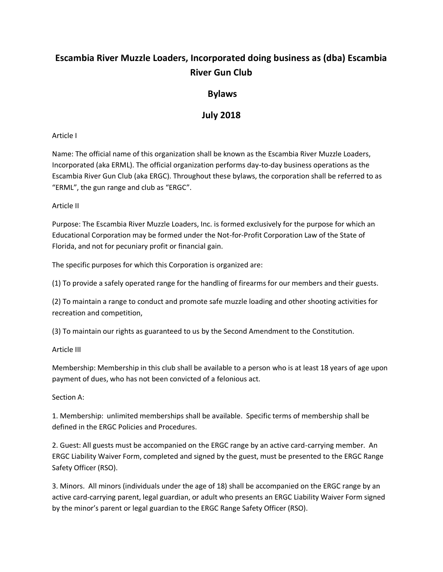# **Escambia River Muzzle Loaders, Incorporated doing business as (dba) Escambia River Gun Club**

# **Bylaws**

# **July 2018**

# Article I

Name: The official name of this organization shall be known as the Escambia River Muzzle Loaders, Incorporated (aka ERML). The official organization performs day-to-day business operations as the Escambia River Gun Club (aka ERGC). Throughout these bylaws, the corporation shall be referred to as "ERML", the gun range and club as "ERGC".

# Article II

Purpose: The Escambia River Muzzle Loaders, Inc. is formed exclusively for the purpose for which an Educational Corporation may be formed under the Not-for-Profit Corporation Law of the State of Florida, and not for pecuniary profit or financial gain.

The specific purposes for which this Corporation is organized are:

(1) To provide a safely operated range for the handling of firearms for our members and their guests.

(2) To maintain a range to conduct and promote safe muzzle loading and other shooting activities for recreation and competition,

(3) To maintain our rights as guaranteed to us by the Second Amendment to the Constitution.

# Article III

Membership: Membership in this club shall be available to a person who is at least 18 years of age upon payment of dues, who has not been convicted of a felonious act.

# Section A:

1. Membership: unlimited memberships shall be available. Specific terms of membership shall be defined in the ERGC Policies and Procedures.

2. Guest: All guests must be accompanied on the ERGC range by an active card-carrying member. An ERGC Liability Waiver Form, completed and signed by the guest, must be presented to the ERGC Range Safety Officer (RSO).

3. Minors. All minors (individuals under the age of 18) shall be accompanied on the ERGC range by an active card-carrying parent, legal guardian, or adult who presents an ERGC Liability Waiver Form signed by the minor's parent or legal guardian to the ERGC Range Safety Officer (RSO).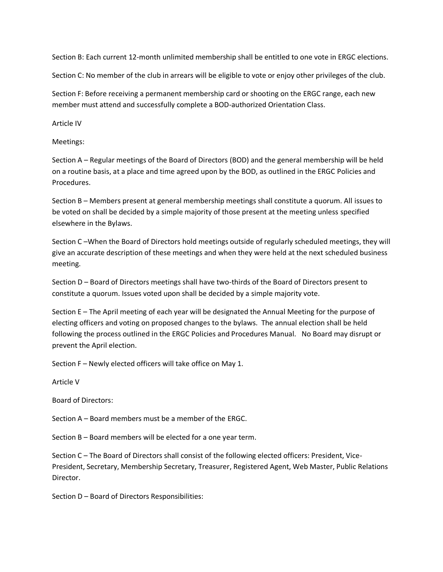Section B: Each current 12-month unlimited membership shall be entitled to one vote in ERGC elections.

Section C: No member of the club in arrears will be eligible to vote or enjoy other privileges of the club.

Section F: Before receiving a permanent membership card or shooting on the ERGC range, each new member must attend and successfully complete a BOD-authorized Orientation Class.

Article IV

Meetings:

Section A – Regular meetings of the Board of Directors (BOD) and the general membership will be held on a routine basis, at a place and time agreed upon by the BOD, as outlined in the ERGC Policies and Procedures.

Section B – Members present at general membership meetings shall constitute a quorum. All issues to be voted on shall be decided by a simple majority of those present at the meeting unless specified elsewhere in the Bylaws.

Section C –When the Board of Directors hold meetings outside of regularly scheduled meetings, they will give an accurate description of these meetings and when they were held at the next scheduled business meeting.

Section D – Board of Directors meetings shall have two-thirds of the Board of Directors present to constitute a quorum. Issues voted upon shall be decided by a simple majority vote.

Section E – The April meeting of each year will be designated the Annual Meeting for the purpose of electing officers and voting on proposed changes to the bylaws. The annual election shall be held following the process outlined in the ERGC Policies and Procedures Manual. No Board may disrupt or prevent the April election.

Section F – Newly elected officers will take office on May 1.

Article V

Board of Directors:

Section A – Board members must be a member of the ERGC.

Section B – Board members will be elected for a one year term.

Section C – The Board of Directors shall consist of the following elected officers: President, Vice-President, Secretary, Membership Secretary, Treasurer, Registered Agent, Web Master, Public Relations Director.

Section D – Board of Directors Responsibilities: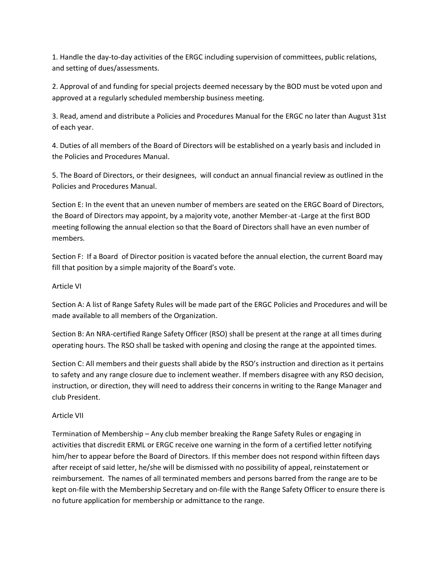1. Handle the day-to-day activities of the ERGC including supervision of committees, public relations, and setting of dues/assessments.

2. Approval of and funding for special projects deemed necessary by the BOD must be voted upon and approved at a regularly scheduled membership business meeting.

3. Read, amend and distribute a Policies and Procedures Manual for the ERGC no later than August 31st of each year.

4. Duties of all members of the Board of Directors will be established on a yearly basis and included in the Policies and Procedures Manual.

5. The Board of Directors, or their designees, will conduct an annual financial review as outlined in the Policies and Procedures Manual.

Section E: In the event that an uneven number of members are seated on the ERGC Board of Directors, the Board of Directors may appoint, by a majority vote, another Member-at -Large at the first BOD meeting following the annual election so that the Board of Directors shall have an even number of members.

Section F: If a Board of Director position is vacated before the annual election, the current Board may fill that position by a simple majority of the Board's vote.

## Article VI

Section A: A list of Range Safety Rules will be made part of the ERGC Policies and Procedures and will be made available to all members of the Organization.

Section B: An NRA-certified Range Safety Officer (RSO) shall be present at the range at all times during operating hours. The RSO shall be tasked with opening and closing the range at the appointed times.

Section C: All members and their guests shall abide by the RSO's instruction and direction as it pertains to safety and any range closure due to inclement weather. If members disagree with any RSO decision, instruction, or direction, they will need to address their concerns in writing to the Range Manager and club President.

#### Article VII

Termination of Membership – Any club member breaking the Range Safety Rules or engaging in activities that discredit ERML or ERGC receive one warning in the form of a certified letter notifying him/her to appear before the Board of Directors. If this member does not respond within fifteen days after receipt of said letter, he/she will be dismissed with no possibility of appeal, reinstatement or reimbursement. The names of all terminated members and persons barred from the range are to be kept on-file with the Membership Secretary and on-file with the Range Safety Officer to ensure there is no future application for membership or admittance to the range.